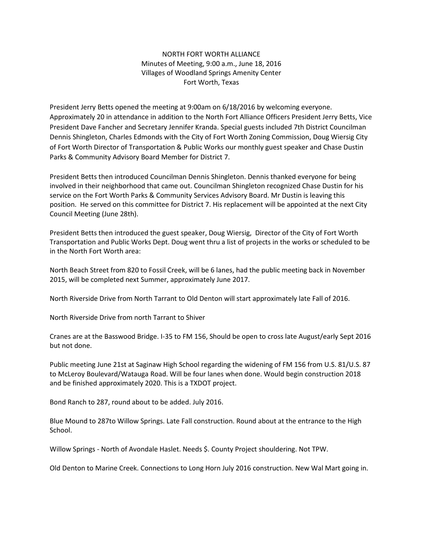NORTH FORT WORTH ALLIANCE Minutes of Meeting, 9:00 a.m., June 18, 2016 Villages of Woodland Springs Amenity Center Fort Worth, Texas

President Jerry Betts opened the meeting at 9:00am on 6/18/2016 by welcoming everyone. Approximately 20 in attendance in addition to the North Fort Alliance Officers President Jerry Betts, Vice President Dave Fancher and Secretary Jennifer Kranda. Special guests included 7th District Councilman Dennis Shingleton, Charles Edmonds with the City of Fort Worth Zoning Commission, Doug Wiersig City of Fort Worth Director of Transportation & Public Works our monthly guest speaker and Chase Dustin Parks & Community Advisory Board Member for District 7.

President Betts then introduced Councilman Dennis Shingleton. Dennis thanked everyone for being involved in their neighborhood that came out. Councilman Shingleton recognized Chase Dustin for his service on the Fort Worth Parks & Community Services Advisory Board. Mr Dustin is leaving this position. He served on this committee for District 7. His replacement will be appointed at the next City Council Meeting (June 28th).

President Betts then introduced the guest speaker, Doug Wiersig, Director of the City of Fort Worth Transportation and Public Works Dept. Doug went thru a list of projects in the works or scheduled to be in the North Fort Worth area:

North Beach Street from 820 to Fossil Creek, will be 6 lanes, had the public meeting back in November 2015, will be completed next Summer, approximately June 2017.

North Riverside Drive from North Tarrant to Old Denton will start approximately late Fall of 2016.

North Riverside Drive from north Tarrant to Shiver

Cranes are at the Basswood Bridge. I-35 to FM 156, Should be open to cross late August/early Sept 2016 but not done.

Public meeting June 21st at Saginaw High School regarding the widening of FM 156 from U.S. 81/U.S. 87 to McLeroy Boulevard/Watauga Road. Will be four lanes when done. Would begin construction 2018 and be finished approximately 2020. This is a TXDOT project.

Bond Ranch to 287, round about to be added. July 2016.

Blue Mound to 287to Willow Springs. Late Fall construction. Round about at the entrance to the High School.

Willow Springs - North of Avondale Haslet. Needs \$. County Project shouldering. Not TPW.

Old Denton to Marine Creek. Connections to Long Horn July 2016 construction. New Wal Mart going in.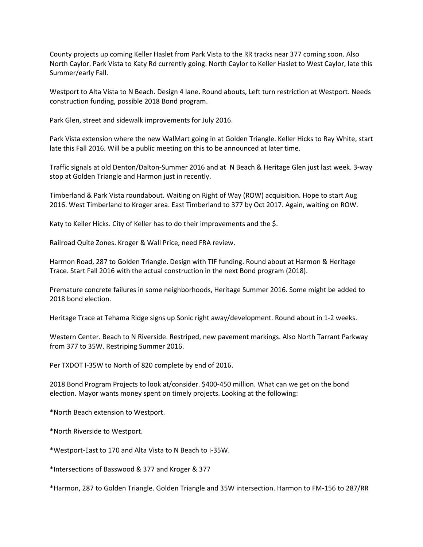County projects up coming Keller Haslet from Park Vista to the RR tracks near 377 coming soon. Also North Caylor. Park Vista to Katy Rd currently going. North Caylor to Keller Haslet to West Caylor, late this Summer/early Fall.

Westport to Alta Vista to N Beach. Design 4 lane. Round abouts, Left turn restriction at Westport. Needs construction funding, possible 2018 Bond program.

Park Glen, street and sidewalk improvements for July 2016.

Park Vista extension where the new WalMart going in at Golden Triangle. Keller Hicks to Ray White, start late this Fall 2016. Will be a public meeting on this to be announced at later time.

Traffic signals at old Denton/Dalton-Summer 2016 and at N Beach & Heritage Glen just last week. 3-way stop at Golden Triangle and Harmon just in recently.

Timberland & Park Vista roundabout. Waiting on Right of Way (ROW) acquisition. Hope to start Aug 2016. West Timberland to Kroger area. East Timberland to 377 by Oct 2017. Again, waiting on ROW.

Katy to Keller Hicks. City of Keller has to do their improvements and the \$.

Railroad Quite Zones. Kroger & Wall Price, need FRA review.

Harmon Road, 287 to Golden Triangle. Design with TIF funding. Round about at Harmon & Heritage Trace. Start Fall 2016 with the actual construction in the next Bond program (2018).

Premature concrete failures in some neighborhoods, Heritage Summer 2016. Some might be added to 2018 bond election.

Heritage Trace at Tehama Ridge signs up Sonic right away/development. Round about in 1-2 weeks.

Western Center. Beach to N Riverside. Restriped, new pavement markings. Also North Tarrant Parkway from 377 to 35W. Restriping Summer 2016.

Per TXDOT I-35W to North of 820 complete by end of 2016.

2018 Bond Program Projects to look at/consider. \$400-450 million. What can we get on the bond election. Mayor wants money spent on timely projects. Looking at the following:

\*North Beach extension to Westport.

\*North Riverside to Westport.

\*Westport-East to 170 and Alta Vista to N Beach to I-35W.

\*Intersections of Basswood & 377 and Kroger & 377

\*Harmon, 287 to Golden Triangle. Golden Triangle and 35W intersection. Harmon to FM-156 to 287/RR